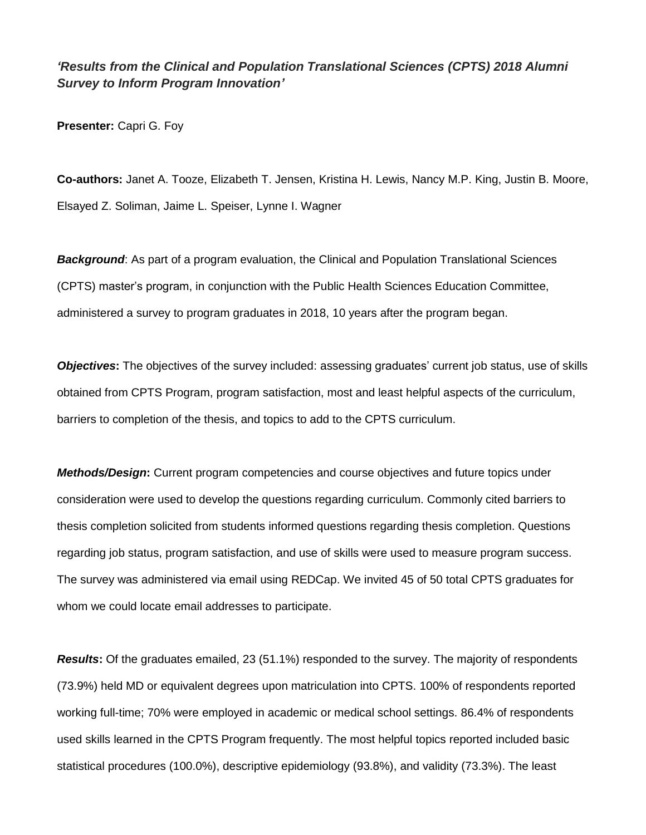## *'Results from the Clinical and Population Translational Sciences (CPTS) 2018 Alumni Survey to Inform Program Innovation'*

**Presenter:** Capri G. Foy

**Co-authors:** Janet A. Tooze, Elizabeth T. Jensen, Kristina H. Lewis, Nancy M.P. King, Justin B. Moore, Elsayed Z. Soliman, Jaime L. Speiser, Lynne I. Wagner

*Background*: As part of a program evaluation, the Clinical and Population Translational Sciences (CPTS) master's program, in conjunction with the Public Health Sciences Education Committee, administered a survey to program graduates in 2018, 10 years after the program began.

*Objectives*: The objectives of the survey included: assessing graduates' current job status, use of skills obtained from CPTS Program, program satisfaction, most and least helpful aspects of the curriculum, barriers to completion of the thesis, and topics to add to the CPTS curriculum.

*Methods/Design***:** Current program competencies and course objectives and future topics under consideration were used to develop the questions regarding curriculum. Commonly cited barriers to thesis completion solicited from students informed questions regarding thesis completion. Questions regarding job status, program satisfaction, and use of skills were used to measure program success. The survey was administered via email using REDCap. We invited 45 of 50 total CPTS graduates for whom we could locate email addresses to participate.

*Results***:** Of the graduates emailed, 23 (51.1%) responded to the survey. The majority of respondents (73.9%) held MD or equivalent degrees upon matriculation into CPTS. 100% of respondents reported working full-time; 70% were employed in academic or medical school settings. 86.4% of respondents used skills learned in the CPTS Program frequently. The most helpful topics reported included basic statistical procedures (100.0%), descriptive epidemiology (93.8%), and validity (73.3%). The least